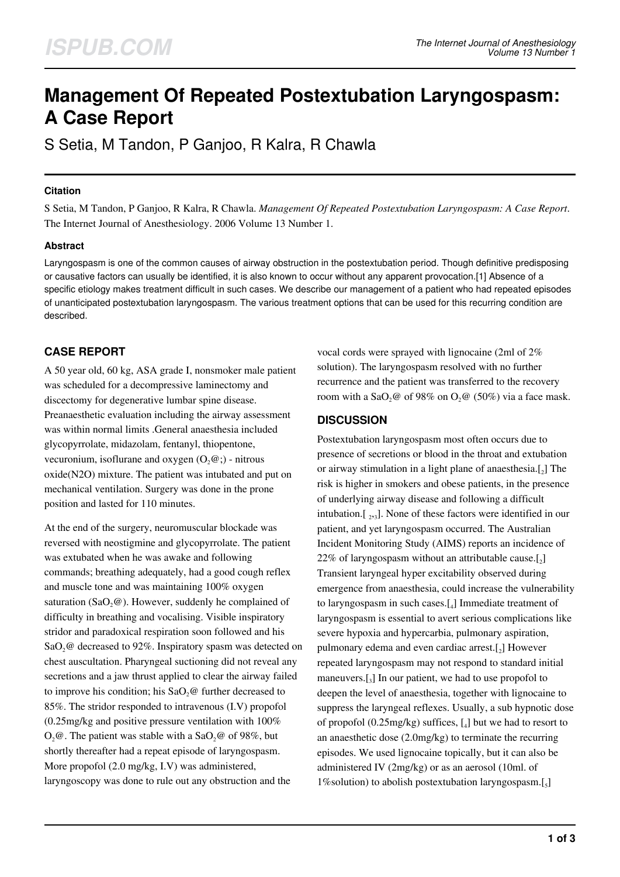# **Management Of Repeated Postextubation Laryngospasm: A Case Report**

S Setia, M Tandon, P Ganjoo, R Kalra, R Chawla

## **Citation**

S Setia, M Tandon, P Ganjoo, R Kalra, R Chawla. *Management Of Repeated Postextubation Laryngospasm: A Case Report*. The Internet Journal of Anesthesiology. 2006 Volume 13 Number 1.

## **Abstract**

Laryngospasm is one of the common causes of airway obstruction in the postextubation period. Though definitive predisposing or causative factors can usually be identified, it is also known to occur without any apparent provocation.[1] Absence of a specific etiology makes treatment difficult in such cases. We describe our management of a patient who had repeated episodes of unanticipated postextubation laryngospasm. The various treatment options that can be used for this recurring condition are described.

# **CASE REPORT**

A 50 year old, 60 kg, ASA grade I, nonsmoker male patient was scheduled for a decompressive laminectomy and discectomy for degenerative lumbar spine disease. Preanaesthetic evaluation including the airway assessment was within normal limits .General anaesthesia included glycopyrrolate, midazolam, fentanyl, thiopentone, vecuronium, isoflurane and oxygen  $(0, @)$  - nitrous oxide(N2O) mixture. The patient was intubated and put on mechanical ventilation. Surgery was done in the prone position and lasted for 110 minutes.

At the end of the surgery, neuromuscular blockade was reversed with neostigmine and glycopyrrolate. The patient was extubated when he was awake and following commands; breathing adequately, had a good cough reflex and muscle tone and was maintaining 100% oxygen saturation (SaO<sub>2</sub> $@$ ). However, suddenly he complained of difficulty in breathing and vocalising. Visible inspiratory stridor and paradoxical respiration soon followed and his SaO<sub>2</sub>@ decreased to 92%. Inspiratory spasm was detected on chest auscultation. Pharyngeal suctioning did not reveal any secretions and a jaw thrust applied to clear the airway failed to improve his condition; his  $SaO$ <sub>2</sub> $@$  further decreased to 85%. The stridor responded to intravenous (I.V) propofol (0.25mg/kg and positive pressure ventilation with 100%  $O_2$ . The patient was stable with a Sa $O_2$  of 98%, but shortly thereafter had a repeat episode of laryngospasm. More propofol (2.0 mg/kg, I.V) was administered, laryngoscopy was done to rule out any obstruction and the

vocal cords were sprayed with lignocaine (2ml of 2% solution). The laryngospasm resolved with no further recurrence and the patient was transferred to the recovery room with a SaO<sub>2</sub>@ of 98% on  $O_2$ @ (50%) via a face mask.

## **DISCUSSION**

Postextubation laryngospasm most often occurs due to presence of secretions or blood in the throat and extubation or airway stimulation in a light plane of anaesthesia. $[2]$  The risk is higher in smokers and obese patients, in the presence of underlying airway disease and following a difficult intubation. $[\,_2, \cdot]$ . None of these factors were identified in our patient, and yet laryngospasm occurred. The Australian Incident Monitoring Study (AIMS) reports an incidence of  $22\%$  of laryngospasm without an attributable cause.[ $_2$ ] Transient laryngeal hyper excitability observed during emergence from anaesthesia, could increase the vulnerability to laryngospasm in such cases.[<sup>4</sup> ] Immediate treatment of laryngospasm is essential to avert serious complications like severe hypoxia and hypercarbia, pulmonary aspiration, pulmonary edema and even cardiac arrest.[2] However repeated laryngospasm may not respond to standard initial maneuvers.[<sup>3</sup> ] In our patient, we had to use propofol to deepen the level of anaesthesia, together with lignocaine to suppress the laryngeal reflexes. Usually, a sub hypnotic dose of propofol (0.25mg/kg) suffices, [<sup>4</sup> ] but we had to resort to an anaesthetic dose (2.0mg/kg) to terminate the recurring episodes. We used lignocaine topically, but it can also be administered IV (2mg/kg) or as an aerosol (10ml. of 1% solution) to abolish postextubation laryngospasm.[5]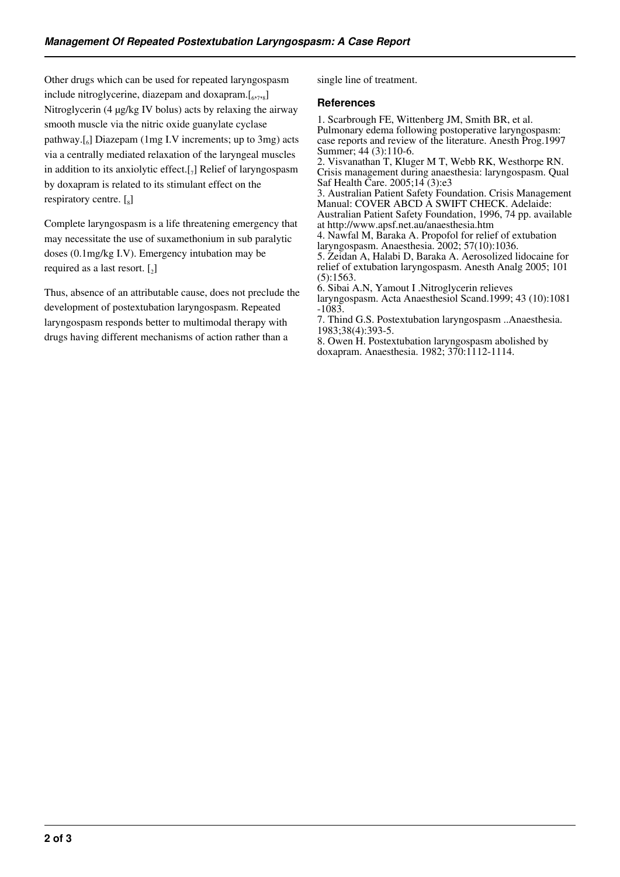Other drugs which can be used for repeated laryngospasm include nitroglycerine, diazepam and doxapram.[6,7,8] Nitroglycerin (4 µg/kg IV bolus) acts by relaxing the airway smooth muscle via the nitric oxide guanylate cyclase pathway.[<sup>6</sup> ] Diazepam (1mg I.V increments; up to 3mg) acts via a centrally mediated relaxation of the laryngeal muscles in addition to its anxiolytic effect.[<sub>7</sub>] Relief of laryngospasm by doxapram is related to its stimulant effect on the respiratory centre.  $\left[\begin{smallmatrix}5\end{smallmatrix}\right]$ 

Complete laryngospasm is a life threatening emergency that may necessitate the use of suxamethonium in sub paralytic doses (0.1mg/kg I.V). Emergency intubation may be required as a last resort.  $\begin{bmatrix} 2 \end{bmatrix}$ 

Thus, absence of an attributable cause, does not preclude the development of postextubation laryngospasm. Repeated laryngospasm responds better to multimodal therapy with drugs having different mechanisms of action rather than a

single line of treatment.

#### **References**

1. Scarbrough FE, Wittenberg JM, Smith BR, et al. Pulmonary edema following postoperative laryngospasm: case reports and review of the literature. Anesth Prog.1997 Summer; 44 (3):110-6.

2. Visvanathan T, Kluger M T, Webb RK, Westhorpe RN. Crisis management during anaesthesia: laryngospasm. Qual Saf Health Care. 2005;14 (3):e3

3. Australian Patient Safety Foundation. Crisis Management Manual: COVER ABCD A SWIFT CHECK. Adelaide: Australian Patient Safety Foundation, 1996, 74 pp. available

at http://www.apsf.net.au/anaesthesia.htm

4. Nawfal M, Baraka A. Propofol for relief of extubation laryngospasm. Anaesthesia. 2002; 57(10):1036.

5. Zeidan A, Halabi D, Baraka A. Aerosolized lidocaine for relief of extubation laryngospasm. Anesth Analg 2005; 101 (5):1563.

6. Sibai A.N, Yamout I .Nitroglycerin relieves laryngospasm. Acta Anaesthesiol Scand.1999; 43 (10):1081 -1083.

7. Thind G.S. Postextubation laryngospasm ..Anaesthesia. 1983;38(4):393-5.

8. Owen H. Postextubation laryngospasm abolished by doxapram. Anaesthesia. 1982; 370:1112-1114.